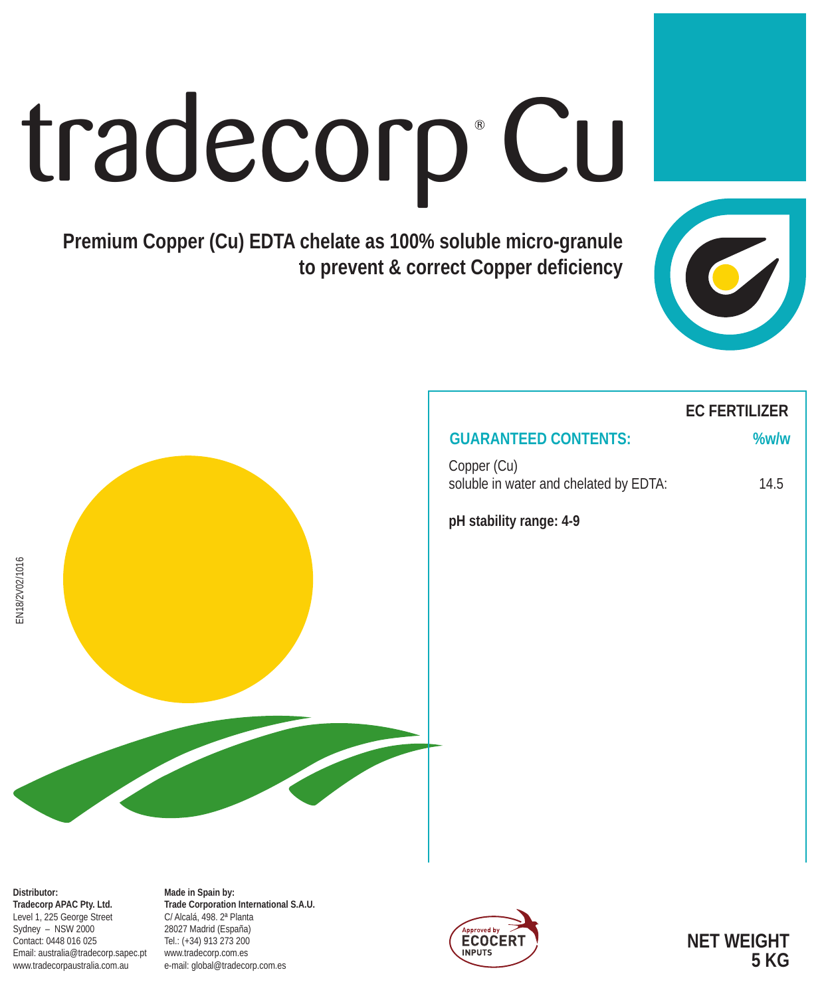# tradecorp Cu

**Premium Copper (Cu) EDTA chelate as 100% soluble micro-granule to prevent & correct Copper deficiency**





# **EC FERTILIZER**

## **GUARANTEED CONTENTS: %w/w**

Copper (Cu) soluble in water and chelated by EDTA: 14.5

**pH stability range: 4-9**

EN18/2V02/1016

EN18/2V02/1016

**Made in Spain by: Trade Corporation International S.A.U.** C/ Alcalá, 498. 2ª Planta 28027 Madrid (España) Tel.: (+34) 913 273 200 www.tradecorp.com.es e-mail: global@tradecorp.com.es



**NET WEIGHT 5 KG**